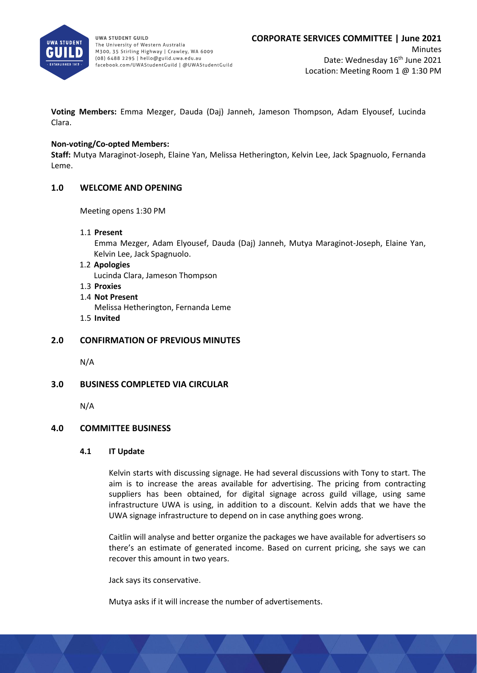

**Voting Members:** Emma Mezger, Dauda (Daj) Janneh, Jameson Thompson, Adam Elyousef, Lucinda Clara.

### **Non-voting/Co-opted Members:**

**Staff:** Mutya Maraginot-Joseph, Elaine Yan, Melissa Hetherington, Kelvin Lee, Jack Spagnuolo, Fernanda Leme.

### **1.0 WELCOME AND OPENING**

Meeting opens 1:30 PM

1.1 **Present**

Emma Mezger, Adam Elyousef, Dauda (Daj) Janneh, Mutya Maraginot-Joseph, Elaine Yan, Kelvin Lee, Jack Spagnuolo.

1.2 **Apologies**

Lucinda Clara, Jameson Thompson

- 1.3 **Proxies**
- 1.4 **Not Present**
	- Melissa Hetherington, Fernanda Leme
- 1.5 **Invited**

### **2.0 CONFIRMATION OF PREVIOUS MINUTES**

N/A

### **3.0 BUSINESS COMPLETED VIA CIRCULAR**

N/A

### **4.0 COMMITTEE BUSINESS**

### **4.1 IT Update**

Kelvin starts with discussing signage. He had several discussions with Tony to start. The aim is to increase the areas available for advertising. The pricing from contracting suppliers has been obtained, for digital signage across guild village, using same infrastructure UWA is using, in addition to a discount. Kelvin adds that we have the UWA signage infrastructure to depend on in case anything goes wrong.

Caitlin will analyse and better organize the packages we have available for advertisers so there's an estimate of generated income. Based on current pricing, she says we can recover this amount in two years.

Jack says its conservative.

Mutya asks if it will increase the number of advertisements.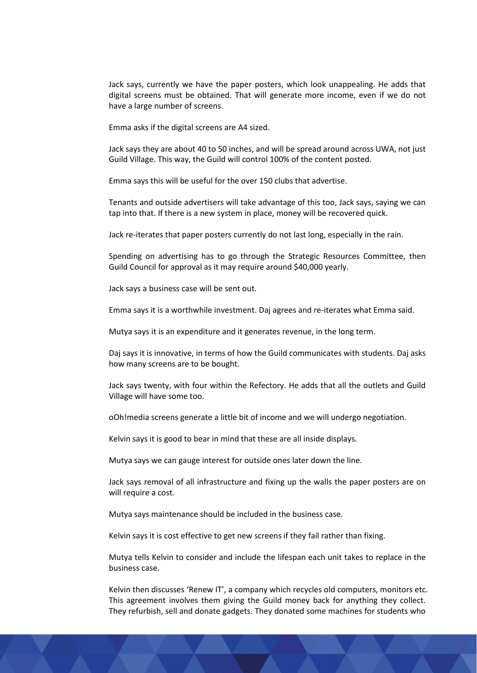Jack says, currently we have the paper posters, which look unappealing. He adds that digital screens must be obtained. That will generate more income, even if we do not have a large number of screens.

Emma asks if the digital screens are A4 sized.

Jack says they are about 40 to 50 inches, and will be spread around across UWA, not just Guild Village. This way, the Guild will control 100% of the content posted.

Emma says this will be useful for the over 150 clubs that advertise.

Tenants and outside advertisers will take advantage of this too, Jack says, saying we can tap into that. If there is a new system in place, money will be recovered quick.

Jack re-iterates that paper posters currently do not last long, especially in the rain.

Spending on advertising has to go through the Strategic Resources Committee, then Guild Council for approval as it may require around \$40,000 yearly.

Jack says a business case will be sent out.

Emma says it is a worthwhile investment. Daj agrees and re-iterates what Emma said.

Mutya says it is an expenditure and it generates revenue, in the long term.

Daj says it is innovative, in terms of how the Guild communicates with students. Daj asks how many screens are to be bought.

Jack says twenty, with four within the Refectory. He adds that all the outlets and Guild Village will have some too.

oOh!media screens generate a little bit of income and we will undergo negotiation.

Kelvin says it is good to bear in mind that these are all inside displays.

Mutya says we can gauge interest for outside ones later down the line.

Jack says removal of all infrastructure and fixing up the walls the paper posters are on will require a cost.

Mutya says maintenance should be included in the business case.

Kelvin says it is cost effective to get new screens if they fail rather than fixing.

Mutya tells Kelvin to consider and include the lifespan each unit takes to replace in the business case.

Kelvin then discusses 'Renew IT', a company which recycles old computers, monitors etc. This agreement involves them giving the Guild money back for anything they collect. They refurbish, sell and donate gadgets. They donated some machines for students who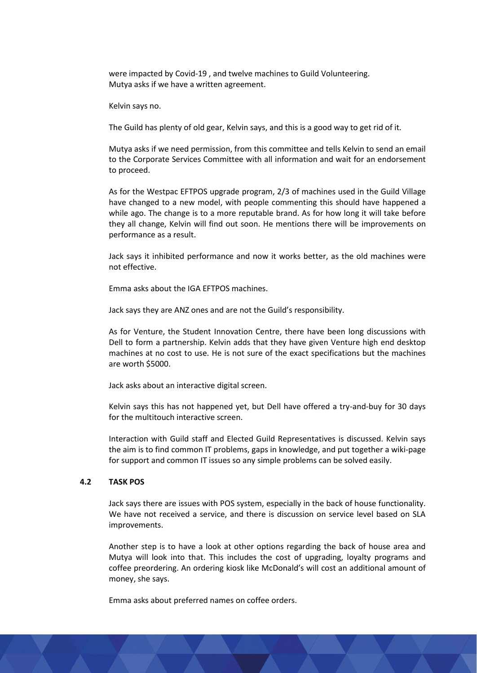were impacted by Covid-19 , and twelve machines to Guild Volunteering. Mutya asks if we have a written agreement.

Kelvin says no.

The Guild has plenty of old gear, Kelvin says, and this is a good way to get rid of it.

Mutya asks if we need permission, from this committee and tells Kelvin to send an email to the Corporate Services Committee with all information and wait for an endorsement to proceed.

As for the Westpac EFTPOS upgrade program, 2/3 of machines used in the Guild Village have changed to a new model, with people commenting this should have happened a while ago. The change is to a more reputable brand. As for how long it will take before they all change, Kelvin will find out soon. He mentions there will be improvements on performance as a result.

Jack says it inhibited performance and now it works better, as the old machines were not effective.

Emma asks about the IGA EFTPOS machines.

Jack says they are ANZ ones and are not the Guild's responsibility.

As for Venture, the Student Innovation Centre, there have been long discussions with Dell to form a partnership. Kelvin adds that they have given Venture high end desktop machines at no cost to use. He is not sure of the exact specifications but the machines are worth \$5000.

Jack asks about an interactive digital screen.

Kelvin says this has not happened yet, but Dell have offered a try-and-buy for 30 days for the multitouch interactive screen.

Interaction with Guild staff and Elected Guild Representatives is discussed. Kelvin says the aim is to find common IT problems, gaps in knowledge, and put together a wiki-page for support and common IT issues so any simple problems can be solved easily.

### **4.2 TASK POS**

Jack says there are issues with POS system, especially in the back of house functionality. We have not received a service, and there is discussion on service level based on SLA improvements.

Another step is to have a look at other options regarding the back of house area and Mutya will look into that. This includes the cost of upgrading, loyalty programs and coffee preordering. An ordering kiosk like McDonald's will cost an additional amount of money, she says.

Emma asks about preferred names on coffee orders.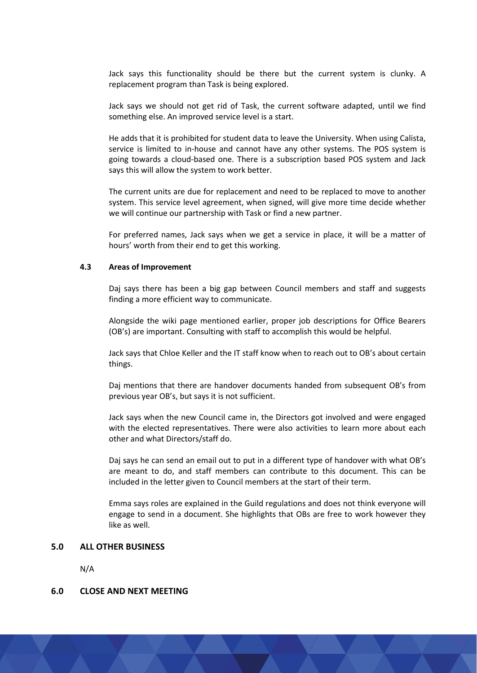Jack says this functionality should be there but the current system is clunky. A replacement program than Task is being explored.

Jack says we should not get rid of Task, the current software adapted, until we find something else. An improved service level is a start.

He adds that it is prohibited for student data to leave the University. When using Calista, service is limited to in-house and cannot have any other systems. The POS system is going towards a cloud-based one. There is a subscription based POS system and Jack says this will allow the system to work better.

The current units are due for replacement and need to be replaced to move to another system. This service level agreement, when signed, will give more time decide whether we will continue our partnership with Task or find a new partner.

For preferred names, Jack says when we get a service in place, it will be a matter of hours' worth from their end to get this working.

### **4.3 Areas of Improvement**

Daj says there has been a big gap between Council members and staff and suggests finding a more efficient way to communicate.

Alongside the wiki page mentioned earlier, proper job descriptions for Office Bearers (OB's) are important. Consulting with staff to accomplish this would be helpful.

Jack says that Chloe Keller and the IT staff know when to reach out to OB's about certain things.

Daj mentions that there are handover documents handed from subsequent OB's from previous year OB's, but says it is not sufficient.

Jack says when the new Council came in, the Directors got involved and were engaged with the elected representatives. There were also activities to learn more about each other and what Directors/staff do.

Daj says he can send an email out to put in a different type of handover with what OB's are meant to do, and staff members can contribute to this document. This can be included in the letter given to Council members at the start of their term.

Emma says roles are explained in the Guild regulations and does not think everyone will engage to send in a document. She highlights that OBs are free to work however they like as well.

#### **5.0 ALL OTHER BUSINESS**

N/A

### **6.0 CLOSE AND NEXT MEETING**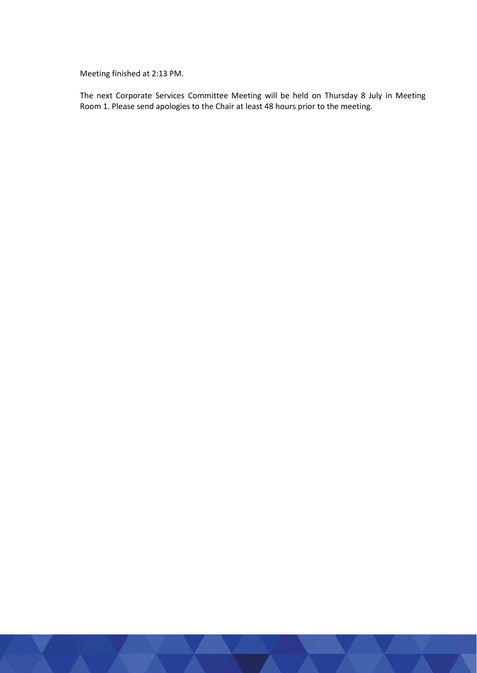Meeting finished at 2:13 PM.

The next Corporate Services Committee Meeting will be held on Thursday 8 July in Meeting Room 1. Please send apologies to the Chair at least 48 hours prior to the meeting.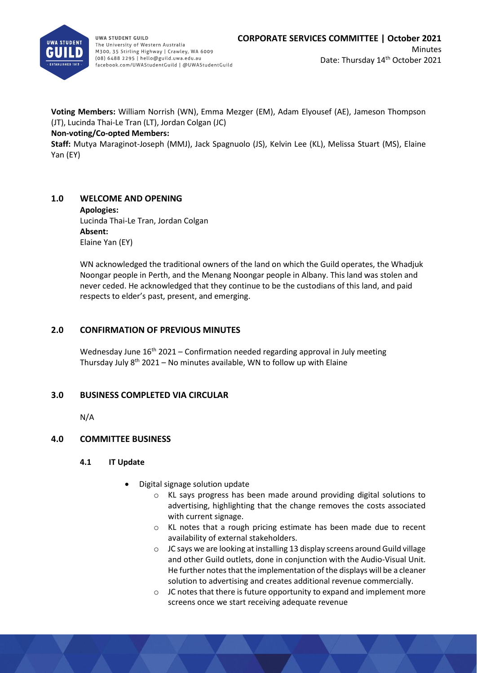

**Voting Members:** William Norrish (WN), Emma Mezger (EM), Adam Elyousef (AE), Jameson Thompson (JT), Lucinda Thai-Le Tran (LT), Jordan Colgan (JC)

## **Non-voting/Co-opted Members:**

**Staff:** Mutya Maraginot-Joseph (MMJ), Jack Spagnuolo (JS), Kelvin Lee (KL), Melissa Stuart (MS), Elaine Yan (EY)

# **1.0 WELCOME AND OPENING**

# **Apologies:** Lucinda Thai-Le Tran, Jordan Colgan **Absent:**

Elaine Yan (EY) WN acknowledged the traditional owners of the land on which the Guild operates, the Whadjuk Noongar people in Perth, and the Menang Noongar people in Albany. This land was stolen and never ceded. He acknowledged that they continue to be the custodians of this land, and paid

# **2.0 CONFIRMATION OF PREVIOUS MINUTES**

respects to elder's past, present, and emerging.

Wednesday June  $16<sup>th</sup> 2021$  – Confirmation needed regarding approval in July meeting Thursday July  $8<sup>th</sup>$  2021 – No minutes available, WN to follow up with Elaine

# **3.0 BUSINESS COMPLETED VIA CIRCULAR**

N/A

# **4.0 COMMITTEE BUSINESS**

- **4.1 IT Update**
	- Digital signage solution update
		- o KL says progress has been made around providing digital solutions to advertising, highlighting that the change removes the costs associated with current signage.
		- o KL notes that a rough pricing estimate has been made due to recent availability of external stakeholders.
		- o JC says we are looking at installing 13 display screens around Guild village and other Guild outlets, done in conjunction with the Audio-Visual Unit. He further notes that the implementation of the displays will be a cleaner solution to advertising and creates additional revenue commercially.
		- $\circ$  JC notes that there is future opportunity to expand and implement more screens once we start receiving adequate revenue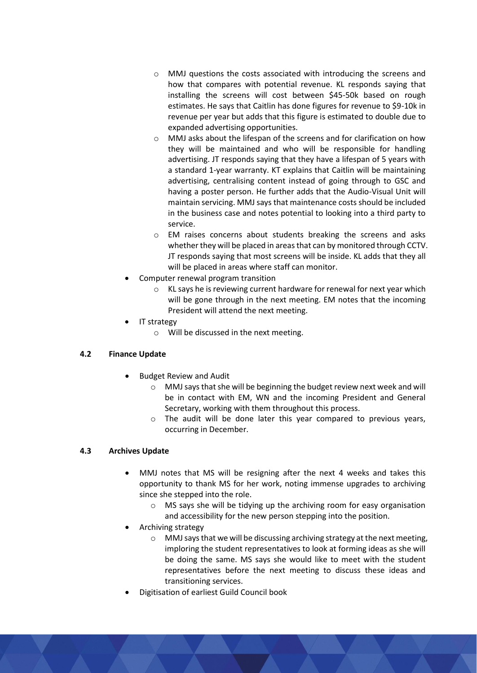- o MMJ questions the costs associated with introducing the screens and how that compares with potential revenue. KL responds saying that installing the screens will cost between \$45-50k based on rough estimates. He says that Caitlin has done figures for revenue to \$9-10k in revenue per year but adds that this figure is estimated to double due to expanded advertising opportunities.
- o MMJ asks about the lifespan of the screens and for clarification on how they will be maintained and who will be responsible for handling advertising. JT responds saying that they have a lifespan of 5 years with a standard 1-year warranty. KT explains that Caitlin will be maintaining advertising, centralising content instead of going through to GSC and having a poster person. He further adds that the Audio-Visual Unit will maintain servicing. MMJ says that maintenance costs should be included in the business case and notes potential to looking into a third party to service.
- o EM raises concerns about students breaking the screens and asks whether they will be placed in areas that can by monitored through CCTV. JT responds saying that most screens will be inside. KL adds that they all will be placed in areas where staff can monitor.
- Computer renewal program transition
	- o KL says he is reviewing current hardware for renewal for next year which will be gone through in the next meeting. EM notes that the incoming President will attend the next meeting.
- IT strategy
	- o Will be discussed in the next meeting.

# **4.2 Finance Update**

- Budget Review and Audit
	- o MMJ says that she will be beginning the budget review next week and will be in contact with EM, WN and the incoming President and General Secretary, working with them throughout this process.
	- o The audit will be done later this year compared to previous years, occurring in December.

# **4.3 Archives Update**

- MMJ notes that MS will be resigning after the next 4 weeks and takes this opportunity to thank MS for her work, noting immense upgrades to archiving since she stepped into the role.
	- o MS says she will be tidying up the archiving room for easy organisation and accessibility for the new person stepping into the position.
- Archiving strategy
	- o MMJ says that we will be discussing archiving strategy at the next meeting, imploring the student representatives to look at forming ideas as she will be doing the same. MS says she would like to meet with the student representatives before the next meeting to discuss these ideas and transitioning services.
- Digitisation of earliest Guild Council book